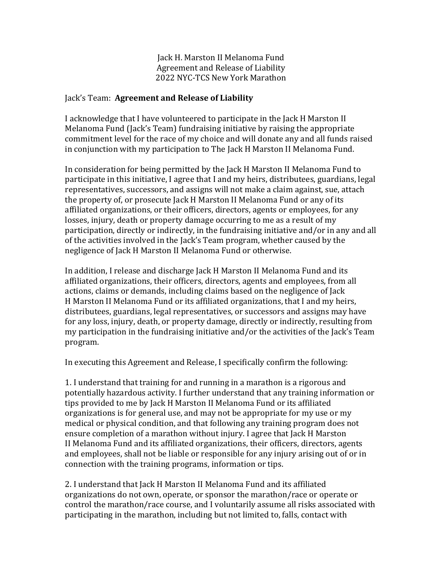Jack H. Marston II Melanoma Fund Agreement and Release of Liability 2022 NYC-TCS New York Marathon

## Jack's Team: Agreement and Release of Liability

I acknowledge that I have volunteered to participate in the Jack H Marston II Melanoma Fund (Jack's Team) fundraising initiative by raising the appropriate commitment level for the race of my choice and will donate any and all funds raised in conjunction with my participation to The Jack H Marston II Melanoma Fund.

In consideration for being permitted by the Jack H Marston II Melanoma Fund to participate in this initiative, I agree that I and my heirs, distributees, guardians, legal representatives, successors, and assigns will not make a claim against, sue, attach the property of, or prosecute Jack H Marston II Melanoma Fund or any of its affiliated organizations, or their officers, directors, agents or employees, for any losses, injury, death or property damage occurring to me as a result of my participation, directly or indirectly, in the fundraising initiative and/or in any and all of the activities involved in the Jack's Team program, whether caused by the negligence of Jack H Marston II Melanoma Fund or otherwise.

In addition, I release and discharge Jack H Marston II Melanoma Fund and its affiliated organizations, their officers, directors, agents and employees, from all actions, claims or demands, including claims based on the negligence of Jack H Marston II Melanoma Fund or its affiliated organizations, that I and my heirs, distributees, guardians, legal representatives, or successors and assigns may have for any loss, injury, death, or property damage, directly or indirectly, resulting from my participation in the fundraising initiative and/or the activities of the Jack's Team program.

In executing this Agreement and Release, I specifically confirm the following:

1. I understand that training for and running in a marathon is a rigorous and potentially hazardous activity. I further understand that any training information or tips provided to me by Jack H Marston II Melanoma Fund or its affiliated organizations is for general use, and may not be appropriate for my use or my medical or physical condition, and that following any training program does not ensure completion of a marathon without injury. I agree that Jack H Marston II Melanoma Fund and its affiliated organizations, their officers, directors, agents and employees, shall not be liable or responsible for any injury arising out of or in connection with the training programs, information or tips.

2. I understand that Jack H Marston II Melanoma Fund and its affiliated organizations do not own, operate, or sponsor the marathon/race or operate or control the marathon/race course, and I voluntarily assume all risks associated with participating in the marathon, including but not limited to, falls, contact with